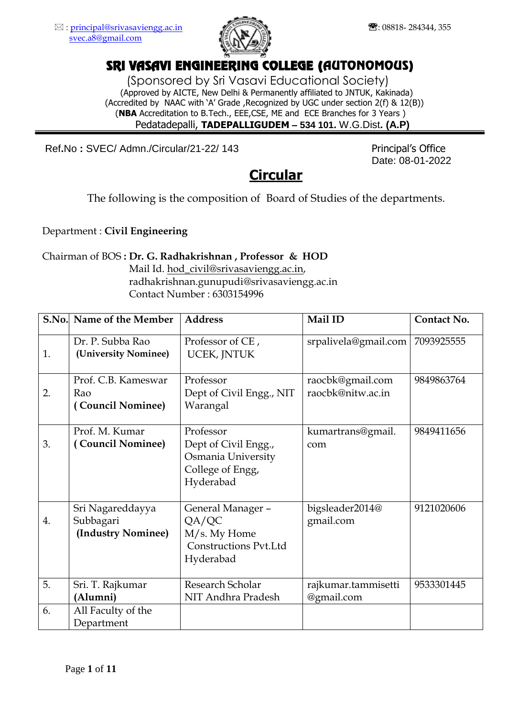

## SRI VASAVI ENGINEERING COLLEGE (AUTONOMOUS)

 (Sponsored by Sri Vasavi Educational Society) (Approved by AICTE, New Delhi & Permanently affiliated to JNTUK, Kakinada) (Accredited by NAAC with 'A' Grade ,Recognized by UGC under section 2(f) & 12(B)) (**NBA** Accreditation to B.Tech., EEE,CSE, ME and ECE Branches for 3 Years ) Pedatadepalli, **TADEPALLIGUDEM – 534 101.** W.G.Dist**. (A.P)**

Ref.No: SVEC/ Admn./Circular/21-22/ 143 Principal's Office

Date: 08-01-2022

# **Circular**

The following is the composition of Board of Studies of the departments.

Department : **Civil Engineering**

#### Chairman of BOS **: Dr. G. Radhakrishnan , Professor & HOD**

 Mail Id. [hod\\_civil@srivasaviengg.ac.in,](mailto:hod_civil@srivasaviengg.ac.in) radhakrishnan.gunupudi@srivasaviengg.ac.in Contact Number : 6303154996

|    | S.No. Name of the Member                            | <b>Address</b>                                                                           | Mail ID                               | Contact No. |
|----|-----------------------------------------------------|------------------------------------------------------------------------------------------|---------------------------------------|-------------|
| 1. | Dr. P. Subba Rao<br>(University Nominee)            | Professor of CE,<br>UCEK, JNTUK                                                          | srpalivela@gmail.com                  | 7093925555  |
| 2. | Prof. C.B. Kameswar<br>Rao<br>(Council Nominee)     | Professor<br>Dept of Civil Engg., NIT<br>Warangal                                        | raocbk@gmail.com<br>raocbk@nitw.ac.in | 9849863764  |
| 3. | Prof. M. Kumar<br>(Council Nominee)                 | Professor<br>Dept of Civil Engg.,<br>Osmania University<br>College of Engg,<br>Hyderabad | kumartrans@gmail.<br>com              | 9849411656  |
| 4. | Sri Nagareddayya<br>Subbagari<br>(Industry Nominee) | General Manager -<br>QA/QC<br>M/s. My Home<br><b>Constructions Pvt.Ltd</b><br>Hyderabad  | bigsleader2014@<br>gmail.com          | 9121020606  |
| 5. | Sri. T. Rajkumar<br>(Alumni)                        | Research Scholar<br>NIT Andhra Pradesh                                                   | rajkumar.tammisetti<br>@gmail.com     | 9533301445  |
| 6. | All Faculty of the<br>Department                    |                                                                                          |                                       |             |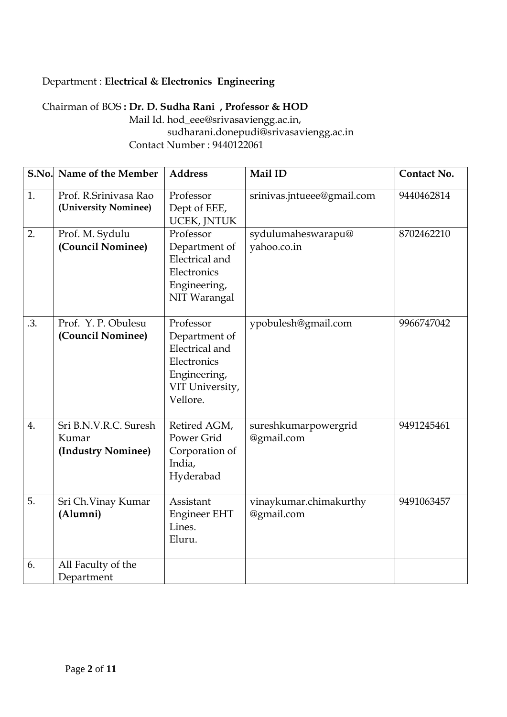## Department : **Electrical & Electronics Engineering**

## Chairman of BOS **: Dr. D. Sudha Rani , Professor & HOD**

 Mail Id. hod\_eee@srivasaviengg.ac.in, sudharani.donepudi@srivasaviengg.ac.in Contact Number : 9440122061

|     | S.No. Name of the Member                             | <b>Address</b>                                                                                             | Mail ID                              | <b>Contact No.</b> |
|-----|------------------------------------------------------|------------------------------------------------------------------------------------------------------------|--------------------------------------|--------------------|
| 1.  | Prof. R.Srinivasa Rao<br>(University Nominee)        | Professor<br>Dept of EEE,<br>UCEK, JNTUK                                                                   | srinivas.jntueee@gmail.com           | 9440462814         |
| 2.  | Prof. M. Sydulu<br>(Council Nominee)                 | Professor<br>Department of<br>Electrical and<br>Electronics<br>Engineering,<br>NIT Warangal                | sydulumaheswarapu@<br>yahoo.co.in    | 8702462210         |
| .3. | Prof. Y. P. Obulesu<br>(Council Nominee)             | Professor<br>Department of<br>Electrical and<br>Electronics<br>Engineering,<br>VIT University,<br>Vellore. | ypobulesh@gmail.com                  | 9966747042         |
| 4.  | Sri B.N.V.R.C. Suresh<br>Kumar<br>(Industry Nominee) | Retired AGM,<br>Power Grid<br>Corporation of<br>India,<br>Hyderabad                                        | sureshkumarpowergrid<br>@gmail.com   | 9491245461         |
| 5.  | Sri Ch. Vinay Kumar<br>(Alumni)                      | Assistant<br><b>Engineer EHT</b><br>Lines.<br>Eluru.                                                       | vinaykumar.chimakurthy<br>@gmail.com | 9491063457         |
| 6.  | All Faculty of the<br>Department                     |                                                                                                            |                                      |                    |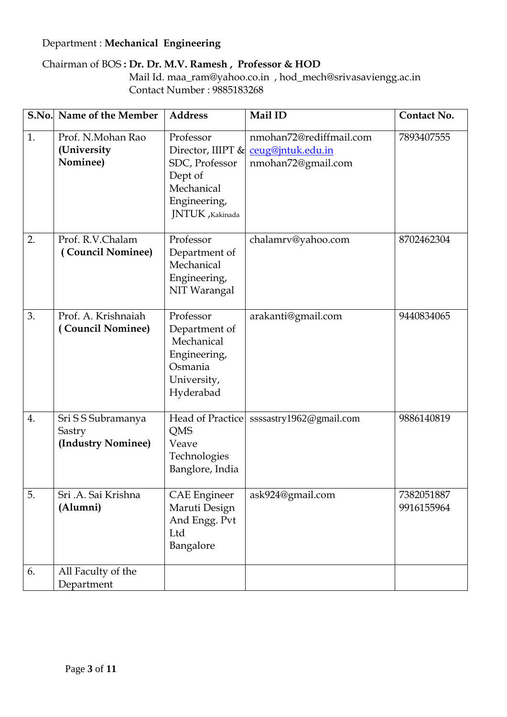#### Department : **Mechanical Engineering**

## Chairman of BOS **: Dr. Dr. M.V. Ramesh , Professor & HOD**

 Mail Id. maa\_ram@yahoo.co.in , hod\_mech@srivasaviengg.ac.in Contact Number : 9885183268

|    | S.No. Name of the Member                           | <b>Address</b>                                                                                                | Mail ID                                                            | <b>Contact No.</b>       |
|----|----------------------------------------------------|---------------------------------------------------------------------------------------------------------------|--------------------------------------------------------------------|--------------------------|
| 1. | Prof. N.Mohan Rao<br>(University<br>Nominee)       | Professor<br>Director, IIIPT &<br>SDC, Professor<br>Dept of<br>Mechanical<br>Engineering,<br>JNTUK , Kakinada | nmohan72@rediffmail.com<br>ceug@jntuk.edu.in<br>nmohan72@gmail.com | 7893407555               |
| 2. | Prof. R.V.Chalam<br>(Council Nominee)              | Professor<br>Department of<br>Mechanical<br>Engineering,<br>NIT Warangal                                      | chalamrv@yahoo.com                                                 | 8702462304               |
| 3. | Prof. A. Krishnaiah<br>(Council Nominee)           | Professor<br>Department of<br>Mechanical<br>Engineering,<br>Osmania<br>University,<br>Hyderabad               | arakanti@gmail.com                                                 | 9440834065               |
| 4. | Sri S S Subramanya<br>Sastry<br>(Industry Nominee) | QMS<br>Veave<br>Technologies<br>Banglore, India                                                               | Head of Practice ssssastry1962@gmail.com                           | 9886140819               |
| 5. | Sri .A. Sai Krishna<br>(Alumni)                    | <b>CAE</b> Engineer<br>Maruti Design<br>And Engg. Pvt<br>Ltd<br>Bangalore                                     | ask924@gmail.com                                                   | 7382051887<br>9916155964 |
| 6. | All Faculty of the<br>Department                   |                                                                                                               |                                                                    |                          |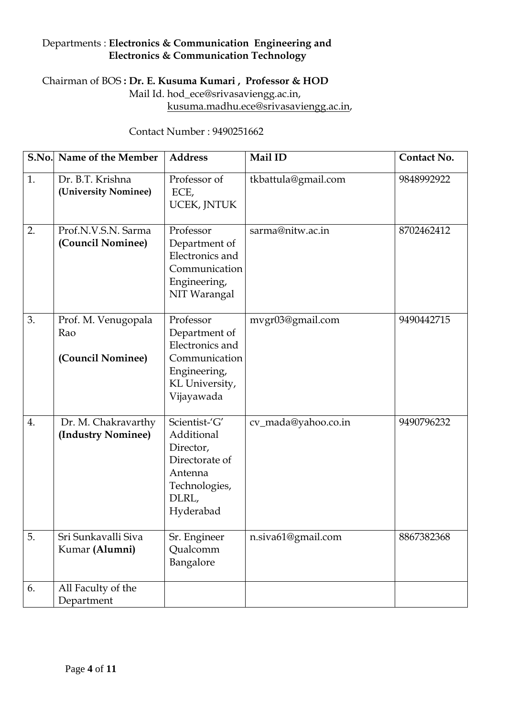#### Departments : **Electronics & Communication Engineering and Electronics & Communication Technology**

## Chairman of BOS **: Dr. E. Kusuma Kumari , Professor & HOD**

 Mail Id. hod\_ece@srivasaviengg.ac.in, [kusuma.madhu.ece@srivasaviengg.ac.in,](mailto:kusuma.madhu.ece@srivasaviengg.ac.in)

Contact Number : 9490251662

|    | S.No. Name of the Member                        | <b>Address</b>                                                                                                 | Mail ID             | Contact No. |
|----|-------------------------------------------------|----------------------------------------------------------------------------------------------------------------|---------------------|-------------|
| 1. | Dr. B.T. Krishna<br>(University Nominee)        | Professor of<br>ECE,<br>UCEK, JNTUK                                                                            | tkbattula@gmail.com | 9848992922  |
| 2. | Prof.N.V.S.N. Sarma<br>(Council Nominee)        | Professor<br>Department of<br>Electronics and<br>Communication<br>Engineering,<br>NIT Warangal                 | sarma@nitw.ac.in    | 8702462412  |
| 3. | Prof. M. Venugopala<br>Rao<br>(Council Nominee) | Professor<br>Department of<br>Electronics and<br>Communication<br>Engineering,<br>KL University,<br>Vijayawada | mvgr03@gmail.com    | 9490442715  |
| 4. | Dr. M. Chakravarthy<br>(Industry Nominee)       | Scientist-'G'<br>Additional<br>Director,<br>Directorate of<br>Antenna<br>Technologies,<br>DLRL,<br>Hyderabad   | cv_mada@yahoo.co.in | 9490796232  |
| 5. | Sri Sunkavalli Siva<br>Kumar (Alumni)           | Sr. Engineer<br>Qualcomm<br>Bangalore                                                                          | n.siva61@gmail.com  | 8867382368  |
| 6. | All Faculty of the<br>Department                |                                                                                                                |                     |             |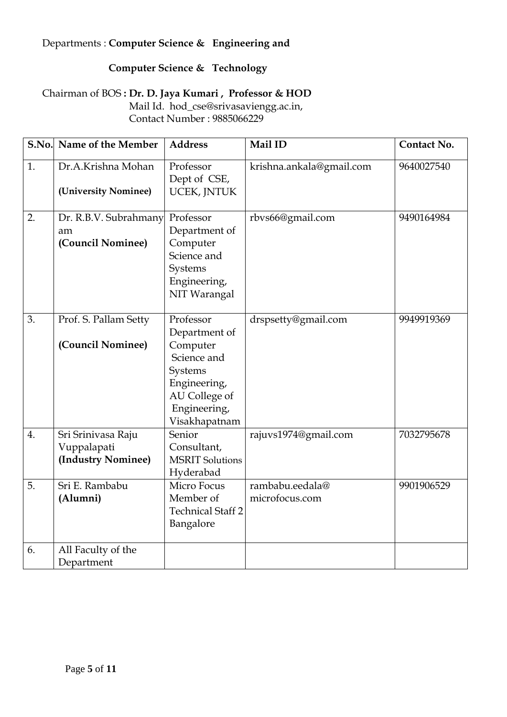#### Departments : **Computer Science & Engineering and**

#### **Computer Science & Technology**

Chairman of BOS **: Dr. D. Jaya Kumari , Professor & HOD** Mail Id. hod\_cse@srivasaviengg.ac.in, Contact Number : 9885066229

|    | S.No. Name of the Member                                | <b>Address</b>                                                                                                                     | Mail ID                           | <b>Contact No.</b> |
|----|---------------------------------------------------------|------------------------------------------------------------------------------------------------------------------------------------|-----------------------------------|--------------------|
| 1. | Dr.A.Krishna Mohan<br>(University Nominee)              | Professor<br>Dept of CSE,<br>UCEK, JNTUK                                                                                           | krishna.ankala@gmail.com          | 9640027540         |
| 2. | Dr. R.B.V. Subrahmany<br>am<br>(Council Nominee)        | Professor<br>Department of<br>Computer<br>Science and<br>Systems<br>Engineering,<br>NIT Warangal                                   | rbvs66@gmail.com                  | 9490164984         |
| 3. | Prof. S. Pallam Setty<br>(Council Nominee)              | Professor<br>Department of<br>Computer<br>Science and<br>Systems<br>Engineering,<br>AU College of<br>Engineering,<br>Visakhapatnam | drspsetty@gmail.com               | 9949919369         |
| 4. | Sri Srinivasa Raju<br>Vuppalapati<br>(Industry Nominee) | Senior<br>Consultant,<br><b>MSRIT</b> Solutions<br>Hyderabad                                                                       | rajuvs1974@gmail.com              | 7032795678         |
| 5. | Sri E. Rambabu<br>(Alumni)                              | Micro Focus<br>Member of<br><b>Technical Staff 2</b><br>Bangalore                                                                  | rambabu.eedala@<br>microfocus.com | 9901906529         |
| 6. | All Faculty of the<br>Department                        |                                                                                                                                    |                                   |                    |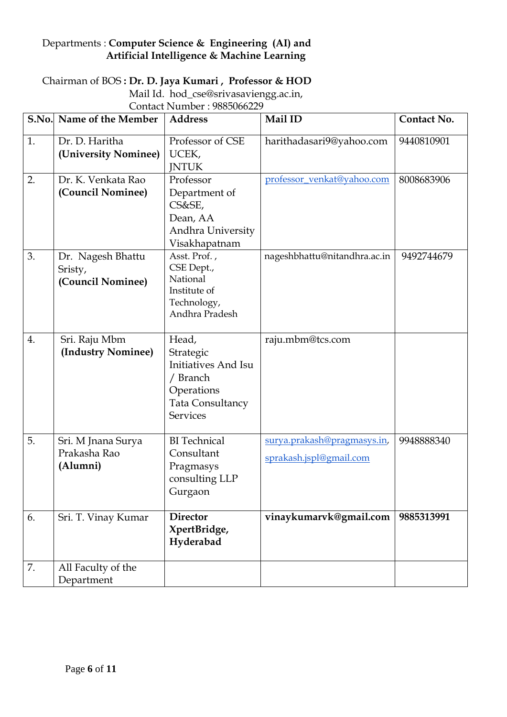#### Departments : **Computer Science & Engineering (AI) and Artificial Intelligence & Machine Learning**

| Chairman of BOS: Dr. D. Jaya Kumari, Professor & HOD |
|------------------------------------------------------|
| Mail Id. hod_cse@srivasaviengg.ac.in,                |
| Contact Number: 9885066229                           |

| S.No. | Name of the Member                                | <b>Address</b>                                                                                             | Mail ID                                                | Contact No. |
|-------|---------------------------------------------------|------------------------------------------------------------------------------------------------------------|--------------------------------------------------------|-------------|
| 1.    | Dr. D. Haritha<br>(University Nominee)            | Professor of CSE<br>UCEK,<br><b>JNTUK</b>                                                                  | harithadasari9@yahoo.com                               | 9440810901  |
| 2.    | Dr. K. Venkata Rao<br>(Council Nominee)           | Professor<br>Department of<br>CS&SE,<br>Dean, AA<br>Andhra University<br>Visakhapatnam                     | professor_venkat@yahoo.com                             | 8008683906  |
| 3.    | Dr. Nagesh Bhattu<br>Sristy,<br>(Council Nominee) | Asst. Prof.,<br>CSE Dept.,<br>National<br>Institute of<br>Technology,<br>Andhra Pradesh                    | nageshbhattu@nitandhra.ac.in                           | 9492744679  |
| 4.    | Sri. Raju Mbm<br>(Industry Nominee)               | Head,<br>Strategic<br>Initiatives And Isu<br>/ Branch<br>Operations<br>Tata Consultancy<br><b>Services</b> | raju.mbm@tcs.com                                       |             |
| 5.    | Sri. M Jnana Surya<br>Prakasha Rao<br>(Alumni)    | <b>BI</b> Technical<br>Consultant<br>Pragmasys<br>consulting LLP<br>Gurgaon                                | surya.prakash@pragmasys.in,<br>sprakash.jspl@gmail.com | 9948888340  |
| 6.    | Sri. T. Vinay Kumar                               | <b>Director</b><br>XpertBridge,<br>Hyderabad                                                               | vinaykumarvk@gmail.com                                 | 9885313991  |
| 7.    | All Faculty of the<br>Department                  |                                                                                                            |                                                        |             |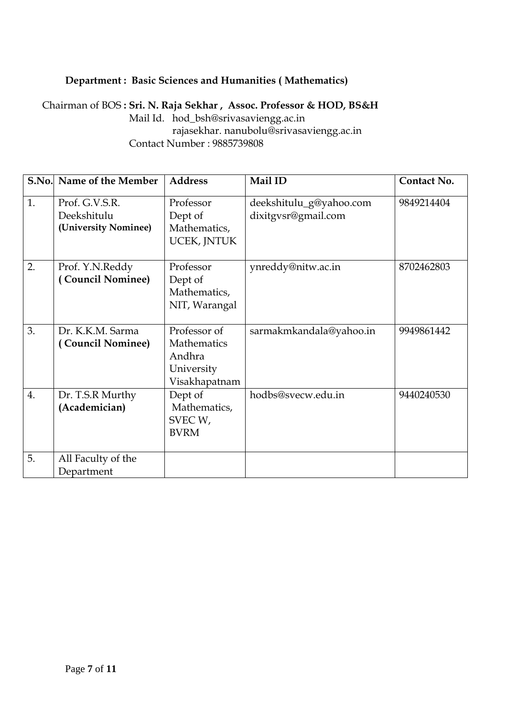#### **Department : Basic Sciences and Humanities ( Mathematics)**

Chairman of BOS **: Sri. N. Raja Sekhar , Assoc. Professor & HOD, BS&H** Mail Id. hod\_bsh@srivasaviengg.ac.in

 rajasekhar. nanubolu@srivasaviengg.ac.in Contact Number : 9885739808

| S.No.            | Name of the Member                                    | <b>Address</b>                                                              | Mail ID                                        | Contact No. |
|------------------|-------------------------------------------------------|-----------------------------------------------------------------------------|------------------------------------------------|-------------|
| 1.               | Prof. G.V.S.R.<br>Deekshitulu<br>(University Nominee) | Professor<br>Dept of<br>Mathematics,<br>UCEK, JNTUK                         | deekshitulu_g@yahoo.com<br>dixitgvsr@gmail.com | 9849214404  |
| 2.               | Prof. Y.N.Reddy<br>(Council Nominee)                  | Professor<br>Dept of<br>Mathematics,<br>NIT, Warangal                       | ynreddy@nitw.ac.in                             | 8702462803  |
| 3.               | Dr. K.K.M. Sarma<br>(Council Nominee)                 | Professor of<br><b>Mathematics</b><br>Andhra<br>University<br>Visakhapatnam | sarmakmkandala@yahoo.in                        | 9949861442  |
| $\overline{4}$ . | Dr. T.S.R Murthy<br>(Academician)                     | Dept of<br>Mathematics,<br>SVEC W,<br><b>BVRM</b>                           | hodbs@svecw.edu.in                             | 9440240530  |
| 5.               | All Faculty of the<br>Department                      |                                                                             |                                                |             |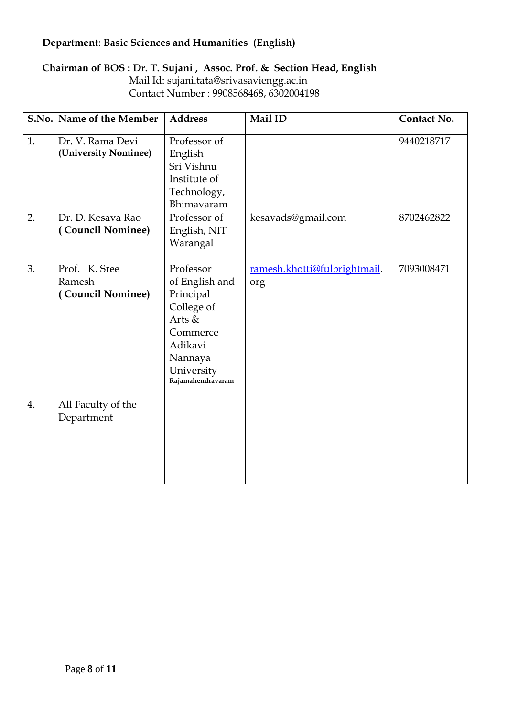#### **Department**: **Basic Sciences and Humanities (English)**

#### **Chairman of BOS : Dr. T. Sujani , Assoc. Prof. & Section Head, English**

 Mail Id: sujani.tata@srivasaviengg.ac.in Contact Number : 9908568468, 6302004198

|                  | S.No. Name of the Member                     | <b>Address</b>                                                                                                                        | Mail ID                             | Contact No. |
|------------------|----------------------------------------------|---------------------------------------------------------------------------------------------------------------------------------------|-------------------------------------|-------------|
| 1.               | Dr. V. Rama Devi<br>(University Nominee)     | Professor of<br>English<br>Sri Vishnu<br>Institute of<br>Technology,<br>Bhimavaram                                                    |                                     | 9440218717  |
| 2.               | Dr. D. Kesava Rao<br>(Council Nominee)       | Professor of<br>English, NIT<br>Warangal                                                                                              | kesavads@gmail.com                  | 8702462822  |
| 3.               | Prof. K. Sree<br>Ramesh<br>(Council Nominee) | Professor<br>of English and<br>Principal<br>College of<br>Arts &<br>Commerce<br>Adikavi<br>Nannaya<br>University<br>Rajamahendravaram | ramesh.khotti@fulbrightmail.<br>org | 7093008471  |
| $\overline{4}$ . | All Faculty of the<br>Department             |                                                                                                                                       |                                     |             |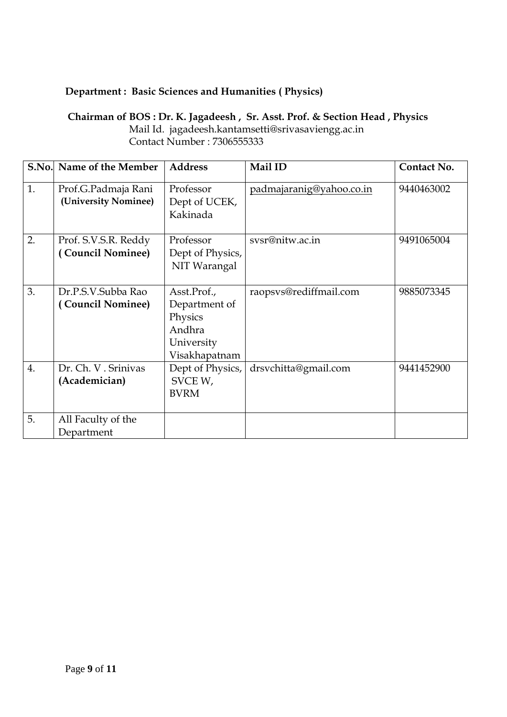## **Department : Basic Sciences and Humanities ( Physics)**

## **Chairman of BOS : Dr. K. Jagadeesh , Sr. Asst. Prof. & Section Head , Physics**

 Mail Id. jagadeesh.kantamsetti@srivasaviengg.ac.in Contact Number : 7306555333

| S.No.            | Name of the Member                          | <b>Address</b>                                                                   | Mail ID                  | Contact No. |
|------------------|---------------------------------------------|----------------------------------------------------------------------------------|--------------------------|-------------|
| 1.               | Prof.G.Padmaja Rani<br>(University Nominee) | Professor<br>Dept of UCEK,<br>Kakinada                                           | padmajaranig@yahoo.co.in | 9440463002  |
| 2.               | Prof. S.V.S.R. Reddy<br>(Council Nominee)   | Professor<br>Dept of Physics,<br>NIT Warangal                                    | svsr@nitw.ac.in          | 9491065004  |
| 3.               | Dr.P.S.V.Subba Rao<br>(Council Nominee)     | Asst.Prof.,<br>Department of<br>Physics<br>Andhra<br>University<br>Visakhapatnam | raopsvs@rediffmail.com   | 9885073345  |
| $\overline{4}$ . | Dr. Ch. V. Srinivas<br>(Academician)        | Dept of Physics,<br>SVCE W,<br><b>BVRM</b>                                       | drsvchitta@gmail.com     | 9441452900  |
| 5.               | All Faculty of the<br>Department            |                                                                                  |                          |             |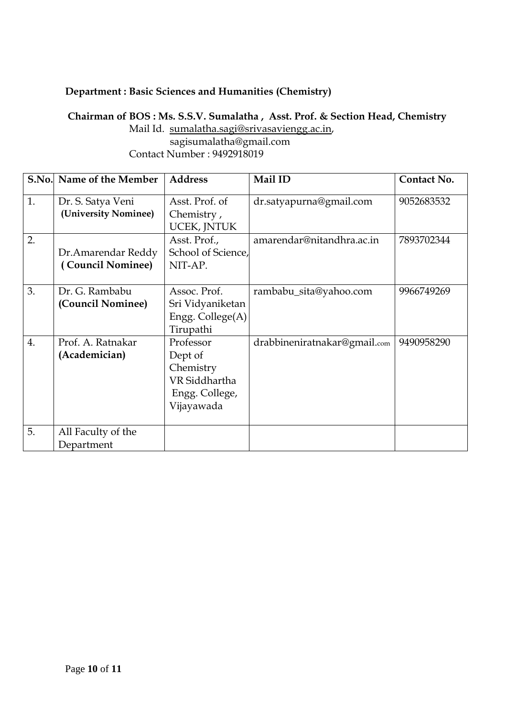## **Department : Basic Sciences and Humanities (Chemistry)**

#### **Chairman of BOS : Ms. S.S.V. Sumalatha , Asst. Prof. & Section Head, Chemistry**

 Mail Id. [sumalatha.sagi@srivasaviengg.ac.in,](mailto:sumalatha.sagi@srivasaviengg.ac.in) sagisumalatha@gmail.com Contact Number : 9492918019

|                  | S.No. Name of the Member                  | <b>Address</b>                                                                     | Mail ID                      | Contact No. |
|------------------|-------------------------------------------|------------------------------------------------------------------------------------|------------------------------|-------------|
| 1.               | Dr. S. Satya Veni<br>(University Nominee) | Asst. Prof. of<br>Chemistry,<br>UCEK, JNTUK                                        | dr.satyapurna@gmail.com      | 9052683532  |
| 2.               | Dr.Amarendar Reddy<br>(Council Nominee)   | Asst. Prof.,<br>School of Science,<br>NIT-AP.                                      | amarendar@nitandhra.ac.in    | 7893702344  |
| 3.               | Dr. G. Rambabu<br>(Council Nominee)       | Assoc. Prof.<br>Sri Vidyaniketan<br>Engg. College(A)<br>Tirupathi                  | rambabu_sita@yahoo.com       | 9966749269  |
| $\overline{4}$ . | Prof. A. Ratnakar<br>(Academician)        | Professor<br>Dept of<br>Chemistry<br>VR Siddhartha<br>Engg. College,<br>Vijayawada | drabbineniratnakar@gmail.com | 9490958290  |
| 5.               | All Faculty of the<br>Department          |                                                                                    |                              |             |